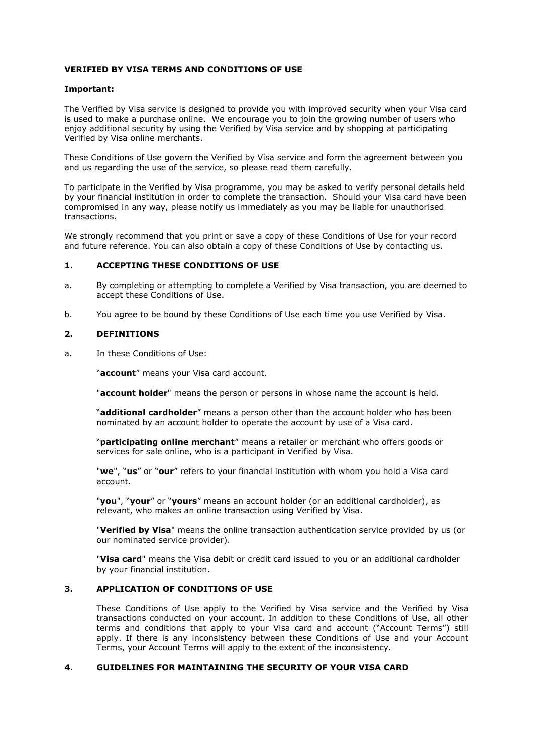#### **VERIFIED BY VISA TERMS AND CONDITIONS OF USE**

#### **Important:**

The Verified by Visa service is designed to provide you with improved security when your Visa card is used to make a purchase online. We encourage you to join the growing number of users who enjoy additional security by using the Verified by Visa service and by shopping at participating Verified by Visa online merchants.

These Conditions of Use govern the Verified by Visa service and form the agreement between you and us regarding the use of the service, so please read them carefully.

To participate in the Verified by Visa programme, you may be asked to verify personal details held by your financial institution in order to complete the transaction. Should your Visa card have been compromised in any way, please notify us immediately as you may be liable for unauthorised transactions.

We strongly recommend that you print or save a copy of these Conditions of Use for your record and future reference. You can also obtain a copy of these Conditions of Use by contacting us.

#### **1. ACCEPTING THESE CONDITIONS OF USE**

- a. By completing or attempting to complete a Verified by Visa transaction, you are deemed to accept these Conditions of Use.
- b. You agree to be bound by these Conditions of Use each time you use Verified by Visa.

#### **2. DEFINITIONS**

a. In these Conditions of Use:

"**account**" means your Visa card account.

"**account holder**" means the person or persons in whose name the account is held.

"**additional cardholder**" means a person other than the account holder who has been nominated by an account holder to operate the account by use of a Visa card.

"**participating online merchant**" means a retailer or merchant who offers goods or services for sale online, who is a participant in Verified by Visa.

"**we**", "**us**" or "**our**" refers to your financial institution with whom you hold a Visa card account.

"**you**", "**your**" or "**yours**" means an account holder (or an additional cardholder), as relevant, who makes an online transaction using Verified by Visa.

"**Verified by Visa**" means the online transaction authentication service provided by us (or our nominated service provider).

"**Visa card**" means the Visa debit or credit card issued to you or an additional cardholder by your financial institution.

#### **3. APPLICATION OF CONDITIONS OF USE**

These Conditions of Use apply to the Verified by Visa service and the Verified by Visa transactions conducted on your account. In addition to these Conditions of Use, all other terms and conditions that apply to your Visa card and account ("Account Terms") still apply. If there is any inconsistency between these Conditions of Use and your Account Terms, your Account Terms will apply to the extent of the inconsistency.

#### **4. GUIDELINES FOR MAINTAINING THE SECURITY OF YOUR VISA CARD**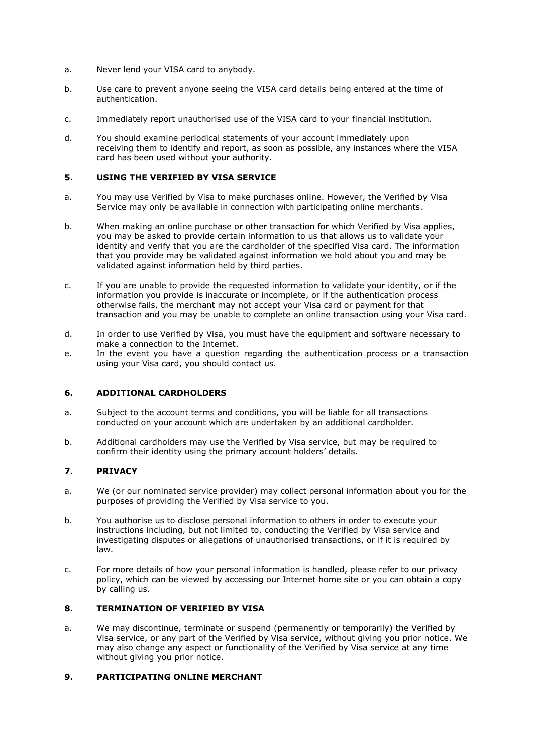- a. Never lend your VISA card to anybody.
- b. Use care to prevent anyone seeing the VISA card details being entered at the time of authentication.
- c. Immediately report unauthorised use of the VISA card to your financial institution.
- d. You should examine periodical statements of your account immediately upon receiving them to identify and report, as soon as possible, any instances where the VISA card has been used without your authority.

### **5. USING THE VERIFIED BY VISA SERVICE**

- a. You may use Verified by Visa to make purchases online. However, the Verified by Visa Service may only be available in connection with participating online merchants.
- b. When making an online purchase or other transaction for which Verified by Visa applies, you may be asked to provide certain information to us that allows us to validate your identity and verify that you are the cardholder of the specified Visa card. The information that you provide may be validated against information we hold about you and may be validated against information held by third parties.
- c. If you are unable to provide the requested information to validate your identity, or if the information you provide is inaccurate or incomplete, or if the authentication process otherwise fails, the merchant may not accept your Visa card or payment for that transaction and you may be unable to complete an online transaction using your Visa card.
- d. In order to use Verified by Visa, you must have the equipment and software necessary to make a connection to the Internet.
- e. In the event you have a question regarding the authentication process or a transaction using your Visa card, you should contact us.

# **6. ADDITIONAL CARDHOLDERS**

- a. Subject to the account terms and conditions, you will be liable for all transactions conducted on your account which are undertaken by an additional cardholder.
- b. Additional cardholders may use the Verified by Visa service, but may be required to confirm their identity using the primary account holders' details.

### **7. PRIVACY**

- a. We (or our nominated service provider) may collect personal information about you for the purposes of providing the Verified by Visa service to you.
- b. You authorise us to disclose personal information to others in order to execute your instructions including, but not limited to, conducting the Verified by Visa service and investigating disputes or allegations of unauthorised transactions, or if it is required by law.
- c. For more details of how your personal information is handled, please refer to our privacy policy, which can be viewed by accessing our Internet home site or you can obtain a copy by calling us.

# **8. TERMINATION OF VERIFIED BY VISA**

a. We may discontinue, terminate or suspend (permanently or temporarily) the Verified by Visa service, or any part of the Verified by Visa service, without giving you prior notice. We may also change any aspect or functionality of the Verified by Visa service at any time without giving you prior notice.

### **9. PARTICIPATING ONLINE MERCHANT**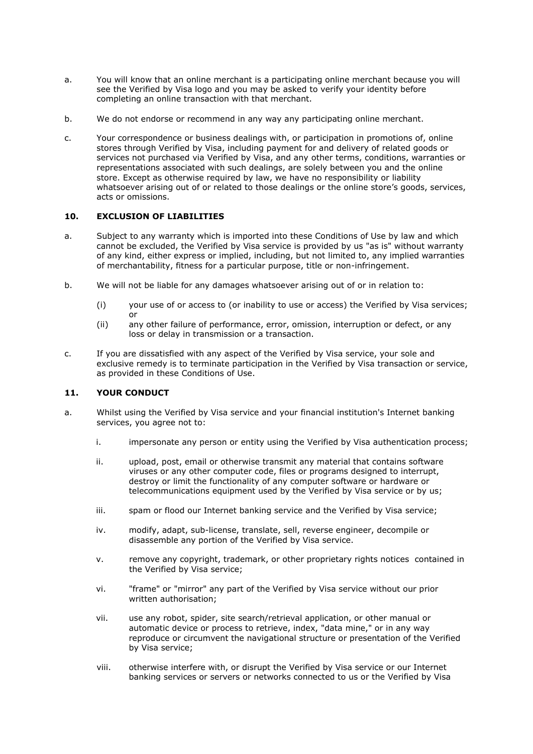- a. You will know that an online merchant is a participating online merchant because you will see the Verified by Visa logo and you may be asked to verify your identity before completing an online transaction with that merchant.
- b. We do not endorse or recommend in any way any participating online merchant.
- c. Your correspondence or business dealings with, or participation in promotions of, online stores through Verified by Visa, including payment for and delivery of related goods or services not purchased via Verified by Visa, and any other terms, conditions, warranties or representations associated with such dealings, are solely between you and the online store. Except as otherwise required by law, we have no responsibility or liability whatsoever arising out of or related to those dealings or the online store's goods, services, acts or omissions.

# **10. EXCLUSION OF LIABILITIES**

- a. Subject to any warranty which is imported into these Conditions of Use by law and which cannot be excluded, the Verified by Visa service is provided by us "as is" without warranty of any kind, either express or implied, including, but not limited to, any implied warranties of merchantability, fitness for a particular purpose, title or non-infringement.
- b. We will not be liable for any damages whatsoever arising out of or in relation to:
	- (i) your use of or access to (or inability to use or access) the Verified by Visa services; or
	- (ii) any other failure of performance, error, omission, interruption or defect, or any loss or delay in transmission or a transaction.
- c. If you are dissatisfied with any aspect of the Verified by Visa service, your sole and exclusive remedy is to terminate participation in the Verified by Visa transaction or service, as provided in these Conditions of Use.

# **11. YOUR CONDUCT**

- a. Whilst using the Verified by Visa service and your financial institution's Internet banking services, you agree not to:
	- i. impersonate any person or entity using the Verified by Visa authentication process;
	- ii. upload, post, email or otherwise transmit any material that contains software viruses or any other computer code, files or programs designed to interrupt, destroy or limit the functionality of any computer software or hardware or telecommunications equipment used by the Verified by Visa service or by us;
	- iii. spam or flood our Internet banking service and the Verified by Visa service;
	- iv. modify, adapt, sub-license, translate, sell, reverse engineer, decompile or disassemble any portion of the Verified by Visa service.
	- v. remove any copyright, trademark, or other proprietary rights notices contained in the Verified by Visa service;
	- vi. "frame" or "mirror" any part of the Verified by Visa service without our prior written authorisation;
	- vii. use any robot, spider, site search/retrieval application, or other manual or automatic device or process to retrieve, index, "data mine," or in any way reproduce or circumvent the navigational structure or presentation of the Verified by Visa service;
	- viii. otherwise interfere with, or disrupt the Verified by Visa service or our Internet banking services or servers or networks connected to us or the Verified by Visa